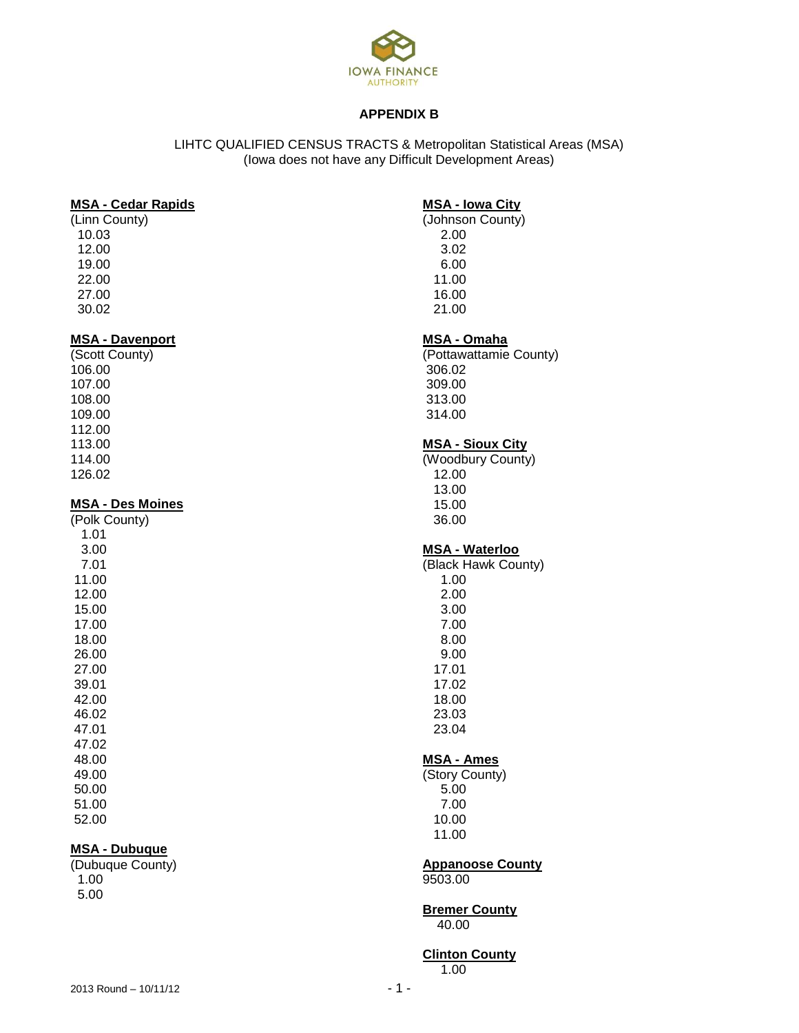

## **APPENDIX B**

## LIHTC QUALIFIED CENSUS TRACTS & Metropolitan Statistical Areas (MSA) (Iowa does not have any Difficult Development Areas)

#### **MSA - Cedar Rapids**

(Linn County) 10.03 12.00 19.00 22.00 27.00 30.02

#### **MSA - Davenport**

(Scott County) 106.00 107.00 108.00 109.00 112.00 113.00 114.00 126.02

## **MSA - Des Moines**

## **MSA - Dubuque**

(Dubuque County) 1.00 5.00

## **MSA - Iowa City**

(Johnson County) 2.00 3.02 6.00 11.00 16.00 21.00

## **MSA - Omaha**

(Pottawattamie County) 306.02 309.00 313.00 314.00

# **MSA - Sioux City**

(Woodbury County) 12.00 13.00 15.00 36.00

## **MSA - Waterloo**

- (Black Hawk County) 1.00 2.00 3.00 7.00 8.00 9.00 17.01 17.02 18.00 23.03 23.04 **MSA - Ames**
- (Story County) 5.00 7.00 10.00
- 11.00

# **Appanoose County**

9503.00

#### **Bremer County** 40.00

# **Clinton County**

1.00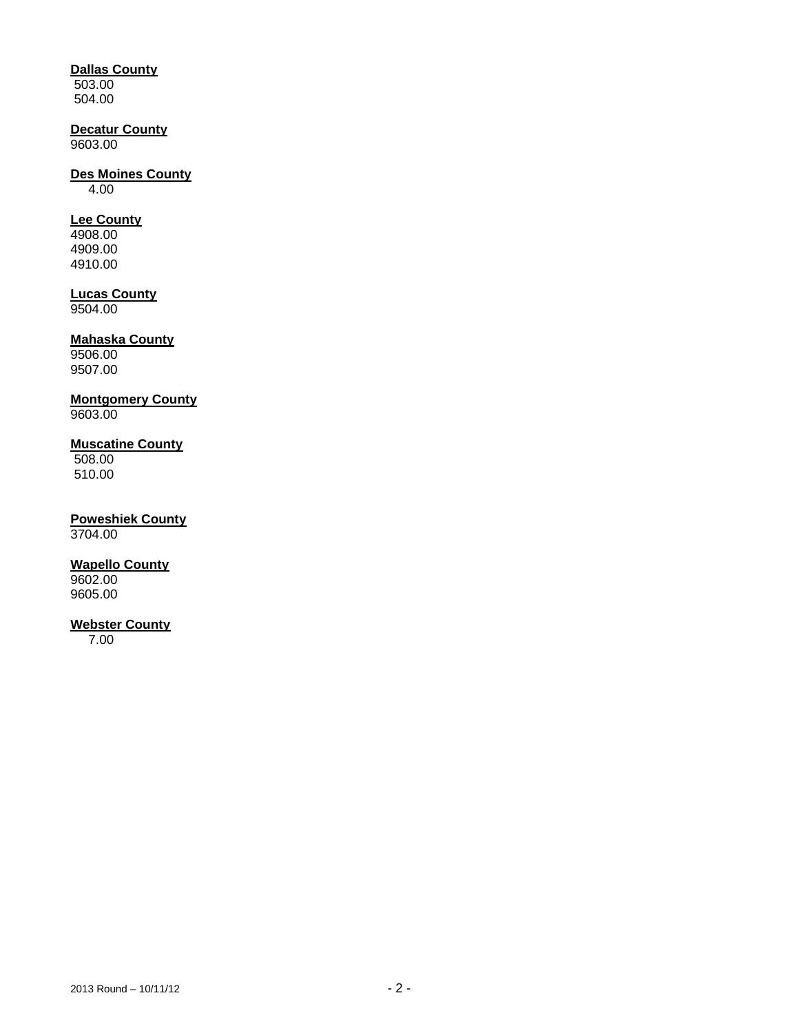## **Dallas County**

503.00 504.00

# **Decatur County**

9603.00

# **Des Moines County**

4.00

# **Lee County**

4908.00 4909.00 4910.00

## **Lucas County**

9504.00

# **Mahaska County**

9506.00 9507.00

# **Montgomery County**

9603.00

## **Muscatine County**

508.00 510.00

# **Poweshiek County**

3704.00

## **Wapello County**

9602.00 9605.00

## **Webster County**

7.00